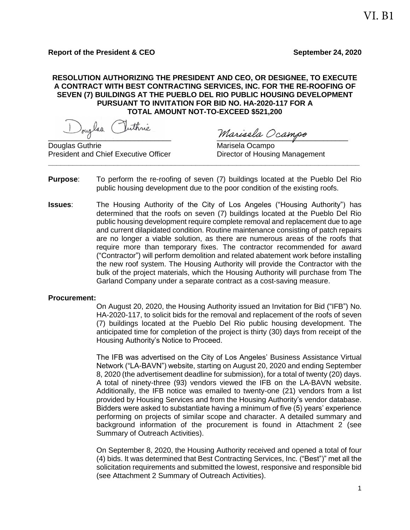## **RESOLUTION AUTHORIZING THE PRESIDENT AND CEO, OR DESIGNEE, TO EXECUTE A CONTRACT WITH BEST CONTRACTING SERVICES, INC. FOR THE RE-ROOFING OF SEVEN (7) BUILDINGS AT THE PUEBLO DEL RIO PUBLIC HOUSING DEVELOPMENT PURSUANT TO INVITATION FOR BID NO. HA-2020-117 FOR A TOTAL AMOUNT NOT-TO-EXCEED \$521,200**

Douglas Inthrie Marisela Ocampo

Douglas Guthrie **Marisela Ocampo** Marisela Ocampo President and Chief Executive Officer **Director of Housing Management \_\_\_\_\_\_\_\_\_\_\_\_\_\_\_\_\_\_\_\_\_\_\_\_\_\_\_\_\_\_\_\_\_\_\_\_\_\_\_\_\_\_\_\_\_\_\_\_\_\_\_\_\_\_\_\_\_\_\_\_\_\_\_\_\_\_\_\_\_\_\_\_\_\_\_\_**

- **Purpose**: To perform the re-roofing of seven (7) buildings located at the Pueblo Del Rio public housing development due to the poor condition of the existing roofs.
- **Issues**: The Housing Authority of the City of Los Angeles ("Housing Authority") has determined that the roofs on seven (7) buildings located at the Pueblo Del Rio public housing development require complete removal and replacement due to age and current dilapidated condition. Routine maintenance consisting of patch repairs are no longer a viable solution, as there are numerous areas of the roofs that require more than temporary fixes. The contractor recommended for award ("Contractor") will perform demolition and related abatement work before installing the new roof system. The Housing Authority will provide the Contractor with the bulk of the project materials, which the Housing Authority will purchase from The Garland Company under a separate contract as a cost-saving measure.

#### **Procurement:**

On August 20, 2020, the Housing Authority issued an Invitation for Bid ("IFB") No. HA-2020-117, to solicit bids for the removal and replacement of the roofs of seven (7) buildings located at the Pueblo Del Rio public housing development. The anticipated time for completion of the project is thirty (30) days from receipt of the Housing Authority's Notice to Proceed.

The IFB was advertised on the City of Los Angeles' Business Assistance Virtual Network ("LA-BAVN") website, starting on August 20, 2020 and ending September 8, 2020 (the advertisement deadline for submission), for a total of twenty (20) days. A total of ninety-three (93) vendors viewed the IFB on the LA-BAVN website. Additionally, the IFB notice was emailed to twenty-one (21) vendors from a list provided by Housing Services and from the Housing Authority's vendor database. Bidders were asked to substantiate having a minimum of five (5) years' experience performing on projects of similar scope and character. A detailed summary and background information of the procurement is found in Attachment 2 (see Summary of Outreach Activities).

On September 8, 2020, the Housing Authority received and opened a total of four (4) bids. It was determined that Best Contracting Services, Inc. ("Best")" met all the solicitation requirements and submitted the lowest, responsive and responsible bid (see Attachment 2 Summary of Outreach Activities).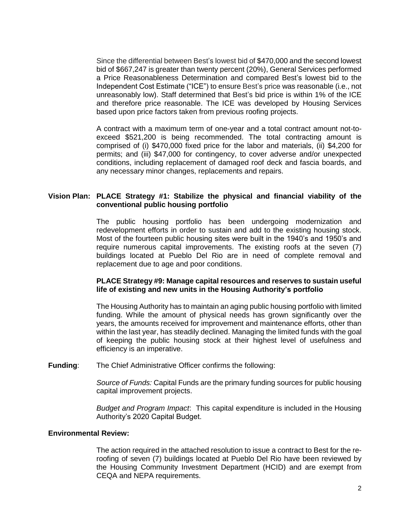Since the differential between Best's lowest bid of \$470,000 and the second lowest bid of \$667,247 is greater than twenty percent (20%), General Services performed a Price Reasonableness Determination and compared Best's lowest bid to the Independent Cost Estimate ("ICE") to ensure Best's price was reasonable (i.e., not unreasonably low). Staff determined that Best's bid price is within 1% of the ICE and therefore price reasonable. The ICE was developed by Housing Services based upon price factors taken from previous roofing projects.

A contract with a maximum term of one-year and a total contract amount not-toexceed \$521,200 is being recommended. The total contracting amount is comprised of (i) \$470,000 fixed price for the labor and materials, (ii) \$4,200 for permits; and (iii) \$47,000 for contingency, to cover adverse and/or unexpected conditions, including replacement of damaged roof deck and fascia boards, and any necessary minor changes, replacements and repairs.

#### **Vision Plan: PLACE Strategy #1: Stabilize the physical and financial viability of the conventional public housing portfolio**

The public housing portfolio has been undergoing modernization and redevelopment efforts in order to sustain and add to the existing housing stock. Most of the fourteen public housing sites were built in the 1940's and 1950's and require numerous capital improvements. The existing roofs at the seven (7) buildings located at Pueblo Del Rio are in need of complete removal and replacement due to age and poor conditions.

#### **PLACE Strategy #9: Manage capital resources and reserves to sustain useful life of existing and new units in the Housing Authority's portfolio**

The Housing Authority has to maintain an aging public housing portfolio with limited funding. While the amount of physical needs has grown significantly over the years, the amounts received for improvement and maintenance efforts, other than within the last year, has steadily declined. Managing the limited funds with the goal of keeping the public housing stock at their highest level of usefulness and efficiency is an imperative.

**Funding**: The Chief Administrative Officer confirms the following:

*Source of Funds:* Capital Funds are the primary funding sources for public housing capital improvement projects.

*Budget and Program Impact*: This capital expenditure is included in the Housing Authority's 2020 Capital Budget.

#### **Environmental Review:**

The action required in the attached resolution to issue a contract to Best for the reroofing of seven (7) buildings located at Pueblo Del Rio have been reviewed by the Housing Community Investment Department (HCID) and are exempt from CEQA and NEPA requirements.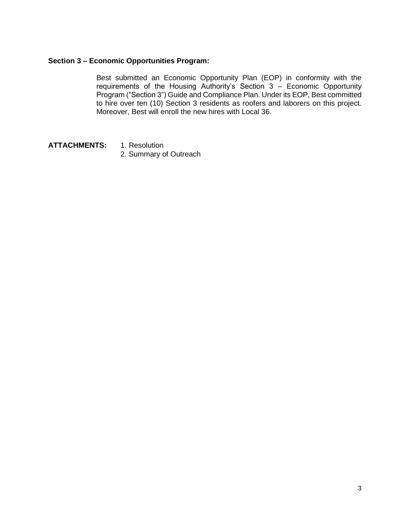# **Section 3 – Economic Opportunities Program:**

Best submitted an Economic Opportunity Plan (EOP) in conformity with the requirements of the Housing Authority's Section 3 – Economic Opportunity Program ("Section 3") Guide and Compliance Plan. Under its EOP, Best committed to hire over ten (10) Section 3 residents as roofers and laborers on this project. Moreover, Best will enroll the new hires with Local 36.

- **ATTACHMENTS:** 1. Resolution
	- 2. Summary of Outreach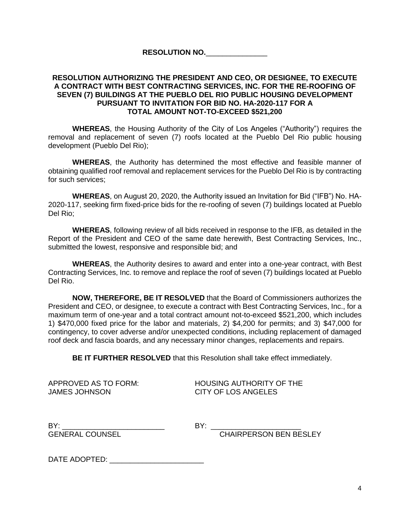**RESOLUTION NO.**\_\_\_\_\_\_\_\_\_\_\_\_\_\_\_

## **RESOLUTION AUTHORIZING THE PRESIDENT AND CEO, OR DESIGNEE, TO EXECUTE A CONTRACT WITH BEST CONTRACTING SERVICES, INC. FOR THE RE-ROOFING OF SEVEN (7) BUILDINGS AT THE PUEBLO DEL RIO PUBLIC HOUSING DEVELOPMENT PURSUANT TO INVITATION FOR BID NO. HA-2020-117 FOR A TOTAL AMOUNT NOT-TO-EXCEED \$521,200**

**WHEREAS**, the Housing Authority of the City of Los Angeles ("Authority") requires the removal and replacement of seven (7) roofs located at the Pueblo Del Rio public housing development (Pueblo Del Rio);

**WHEREAS**, the Authority has determined the most effective and feasible manner of obtaining qualified roof removal and replacement services for the Pueblo Del Rio is by contracting for such services;

**WHEREAS**, on August 20, 2020, the Authority issued an Invitation for Bid ("IFB") No. HA-2020-117, seeking firm fixed-price bids for the re-roofing of seven (7) buildings located at Pueblo Del Rio;

**WHEREAS**, following review of all bids received in response to the IFB, as detailed in the Report of the President and CEO of the same date herewith, Best Contracting Services, Inc., submitted the lowest, responsive and responsible bid; and

**WHEREAS**, the Authority desires to award and enter into a one-year contract, with Best Contracting Services, Inc. to remove and replace the roof of seven (7) buildings located at Pueblo Del Rio.

**NOW, THEREFORE, BE IT RESOLVED** that the Board of Commissioners authorizes the President and CEO, or designee, to execute a contract with Best Contracting Services, Inc., for a maximum term of one-year and a total contract amount not-to-exceed \$521,200, which includes 1) \$470,000 fixed price for the labor and materials, 2) \$4,200 for permits; and 3) \$47,000 for contingency, to cover adverse and/or unexpected conditions, including replacement of damaged roof deck and fascia boards, and any necessary minor changes, replacements and repairs.

**BE IT FURTHER RESOLVED** that this Resolution shall take effect immediately.

JAMES JOHNSON CITY OF LOS ANGELES

APPROVED AS TO FORM: HOUSING AUTHORITY OF THE

BY: \_\_\_\_\_\_\_\_\_\_\_\_\_\_\_\_\_\_\_\_\_\_\_\_\_ BY: \_\_\_\_\_\_\_\_\_\_\_\_\_\_\_\_\_\_\_\_\_\_

GENERAL COUNSEL CHAIRPERSON BEN BESLEY

DATE ADOPTED: \_\_\_\_\_\_\_\_\_\_\_\_\_\_\_\_\_\_\_\_\_\_\_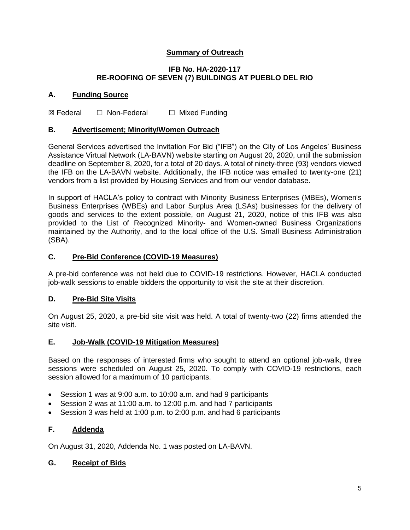# **Summary of Outreach**

## **IFB No. HA-2020-117 RE-ROOFING OF SEVEN (7) BUILDINGS AT PUEBLO DEL RIO**

# **A. Funding Source**

**⊠ Federal □ Non-Federal □ Mixed Funding** 

## **B. Advertisement; Minority/Women Outreach**

General Services advertised the Invitation For Bid ("IFB") on the City of Los Angeles' Business Assistance Virtual Network (LA-BAVN) website starting on August 20, 2020, until the submission deadline on September 8, 2020, for a total of 20 days. A total of ninety-three (93) vendors viewed the IFB on the LA-BAVN website. Additionally, the IFB notice was emailed to twenty-one (21) vendors from a list provided by Housing Services and from our vendor database.

In support of HACLA's policy to contract with Minority Business Enterprises (MBEs), Women's Business Enterprises (WBEs) and Labor Surplus Area (LSAs) businesses for the delivery of goods and services to the extent possible, on August 21, 2020, notice of this IFB was also provided to the List of Recognized Minority- and Women-owned Business Organizations maintained by the Authority, and to the local office of the U.S. Small Business Administration (SBA).

## **C. Pre-Bid Conference (COVID-19 Measures)**

A pre-bid conference was not held due to COVID-19 restrictions. However, HACLA conducted job-walk sessions to enable bidders the opportunity to visit the site at their discretion.

#### **D. Pre-Bid Site Visits**

On August 25, 2020, a pre-bid site visit was held. A total of twenty-two (22) firms attended the site visit.

# **E. Job-Walk (COVID-19 Mitigation Measures)**

Based on the responses of interested firms who sought to attend an optional job-walk, three sessions were scheduled on August 25, 2020. To comply with COVID-19 restrictions, each session allowed for a maximum of 10 participants.

- Session 1 was at 9:00 a.m. to 10:00 a.m. and had 9 participants
- Session 2 was at 11:00 a.m. to 12:00 p.m. and had 7 participants
- Session 3 was held at 1:00 p.m. to 2:00 p.m. and had 6 participants

# **F. Addenda**

On August 31, 2020, Addenda No. 1 was posted on LA-BAVN.

# **G. Receipt of Bids**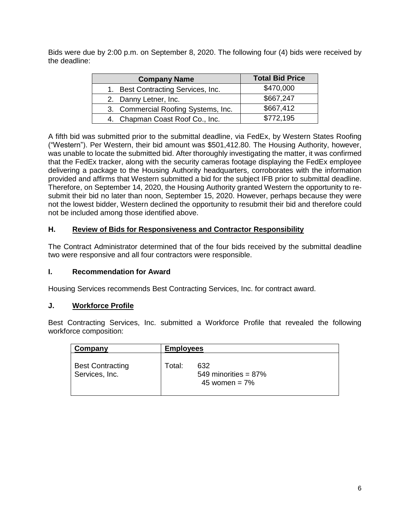Bids were due by 2:00 p.m. on September 8, 2020. The following four (4) bids were received by the deadline:

| <b>Company Name</b>                 | <b>Total Bid Price</b> |
|-------------------------------------|------------------------|
| 1. Best Contracting Services, Inc.  | \$470,000              |
| 2. Danny Letner, Inc.               | \$667,247              |
| 3. Commercial Roofing Systems, Inc. | \$667,412              |
| 4. Chapman Coast Roof Co., Inc.     | \$772,195              |

A fifth bid was submitted prior to the submittal deadline, via FedEx, by Western States Roofing ("Western"). Per Western, their bid amount was \$501,412.80. The Housing Authority, however, was unable to locate the submitted bid. After thoroughly investigating the matter, it was confirmed that the FedEx tracker, along with the security cameras footage displaying the FedEx employee delivering a package to the Housing Authority headquarters, corroborates with the information provided and affirms that Western submitted a bid for the subject IFB prior to submittal deadline. Therefore, on September 14, 2020, the Housing Authority granted Western the opportunity to resubmit their bid no later than noon, September 15, 2020. However, perhaps because they were not the lowest bidder, Western declined the opportunity to resubmit their bid and therefore could not be included among those identified above.

# **H. Review of Bids for Responsiveness and Contractor Responsibility**

The Contract Administrator determined that of the four bids received by the submittal deadline two were responsive and all four contractors were responsible.

# **I. Recommendation for Award**

Housing Services recommends Best Contracting Services, Inc. for contract award.

# **J. Workforce Profile**

Best Contracting Services, Inc. submitted a Workforce Profile that revealed the following workforce composition:

| <b>Company</b>                            | <b>Employees</b> |                                                    |
|-------------------------------------------|------------------|----------------------------------------------------|
| <b>Best Contracting</b><br>Services, Inc. | Total:           | 632<br>549 minorities = $87\%$<br>45 women = $7\%$ |